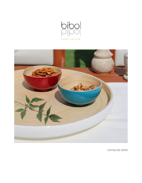



CATALOG 2022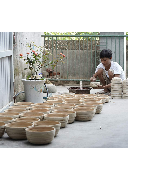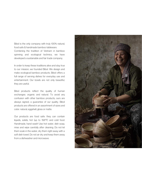Bibol is the only company with truly 100% natural, food safe & handmade bamboo tableware. Combining the tradition of Vietnam in bamboo spinning and ecological technics, we have developed a sustainable and fair trade company.

In order to keep these traditions alive and stay true to our mission, we founded Bibol. We design and make ecological bamboo products. Bibol offers a full range of serving dishes for everyday use and entertainment. Our bowls are not only beautiful, they are useful.

Bibol products reflect the quality of human exchanges: organic and natural. To avoid any confusion with other bamboo products, ours are always signed, a guarantee of our quality. Bibol products are offered in an assortment of sizes and color: natural, eggshell, gloss or matte.

Our products are food safe: they can contain liquids, solids, hot (up to 158°F) and cold food. Handmade, hand wash! Use hot water, dish soap, rinse and wipe carefully after cleaning. Do not let them soak in the water, dry them right away with a soft dish towel. Do not air dry and keep them away from a dishwasher and microwave.

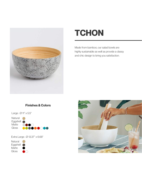

# **TCHON**

Made from bamboo, our salad bowls are highly sustainable as well as provide a classy and chic design to bring you satisfaction.

#### **Finishes&Colors**



Extra Large : Ø 13.37" x 6.68"

⌒

Eggshell Matte **Gloss** Natural

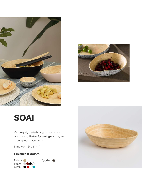



## **SOAI**

Our uniquely crafted mango shape bowl is one of a kind. Perfect for serving or simply an accent piece in your home.

Eggshell <br/>
<sup>1</sup>

Dimension : Ø 12.6" x 4"

#### **Finishes&Colors**

Matte **OOO** Gloss  $\bullet$   $\bullet$   $\bullet$ Natural **O** 

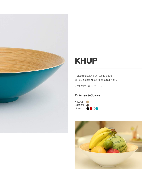

## **KHUP**

A classic design from top to bottom. Simple & chic, great for entertainment!

Dimension : Ø 13.75" x 4.8"

#### **Finishes&Colors**



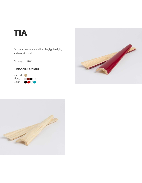## **TIA**

Our salad servers are attractive, lightweight, and easy to use!

Dimension: 11.8"

#### **Finishes & Colors**





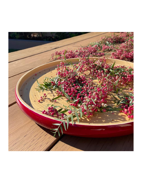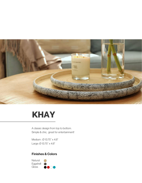



A classic design from top to bottom. Simple & chic, great for entertainment!

Medium : Ø 13.75" x 4.8" Large: Ø 13.75" x 4.8"

#### **Finishes&Colors**

Natural Eggshell **SEP Gloss** 0000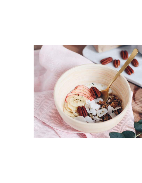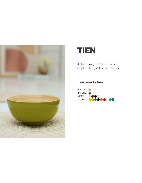

### **TIEN**

A classic design from top to bottom. Simple & chic, great for entertainment!

#### **Finishes&Colors**

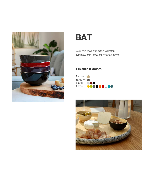

## **BAT**

A classic design from top to bottom. Simple & chic, great for entertainment!

#### **Finishes&Colors**



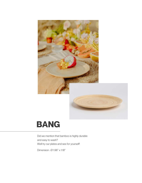



Did we mention that bamboo is highly durable and easy to wash? Well try our plates and see for yourself!

Dimension : Ø 1.96" x 1.18"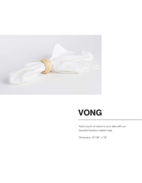

## **VONG**

Add a touch of nature to your able with our beautiful bamboo napkin rings.

Dimension : Ø 1.96" x 1.18"